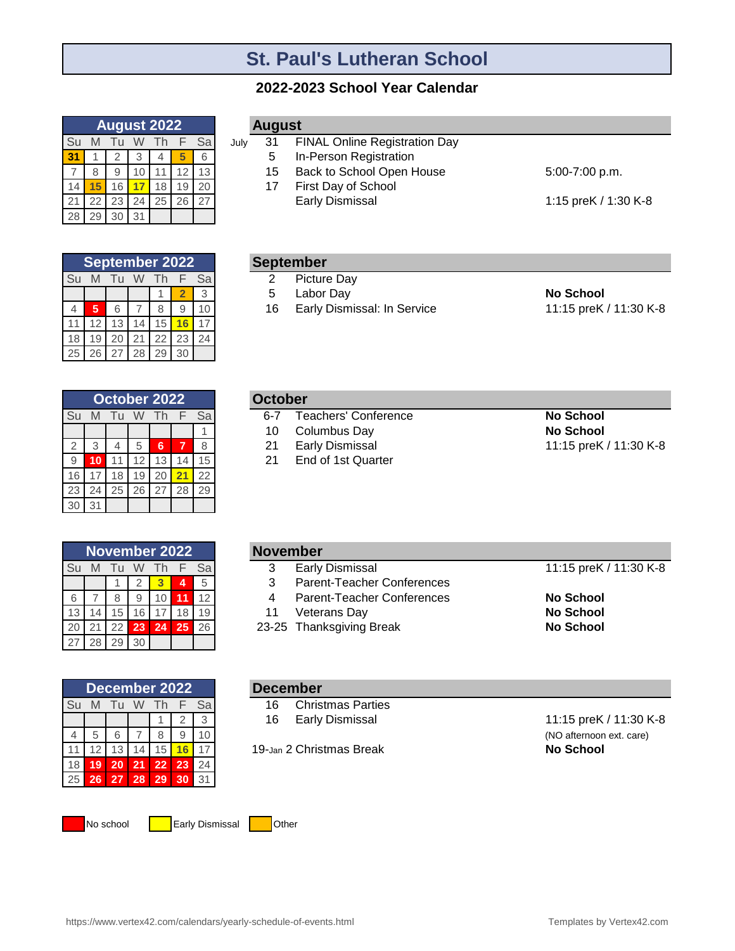# **St. Paul's Lutheran School**

### **2022-2023 School Year Calendar**

|    |    |              |    | <b>August 2022</b> |    |    |
|----|----|--------------|----|--------------------|----|----|
| Su |    |              |    |                    |    | Sa |
| 31 |    | 2            | 3  |                    |    | 6  |
|    | 8  | 9            |    |                    | 12 | 13 |
|    |    | 16           |    | 18                 | 19 | 20 |
| 21 | 22 | 23           | 24 | 25                 | 26 | 27 |
|    |    | $30^{\circ}$ | 31 |                    |    |    |

|    |    |                 |    | <b>September 2022</b> |    |    |
|----|----|-----------------|----|-----------------------|----|----|
| Su | M  | Τu              |    | Th                    | F. | Sa |
|    |    |                 |    |                       | 2  | 3  |
| 4  | 5  | 6               |    | 8                     |    |    |
|    | 12 | 13              | 14 | 15                    |    |    |
|    | 19 | 20              | 21 | 22                    | 23 | 24 |
| 25 | 26 | 27 <sup>1</sup> | 28 |                       |    |    |

|    |    |    |    | October 2022 |    |                 |
|----|----|----|----|--------------|----|-----------------|
| Su | M  | Тu | W  | Th           |    | Sal             |
|    |    |    |    |              |    |                 |
|    |    |    | 5  | 6            |    | 8               |
| -9 |    |    | 12 | 13           | 14 | 15 <sub>1</sub> |
| 16 |    | 18 | 19 | 20           |    | 22              |
| 23 | 24 | 25 | 26 | -27          | 28 | 29              |
| 30 | 31 |    |    |              |    |                 |

| <b>August</b> |  |
|---------------|--|
|               |  |

- July 31 FINAL Online Registration Day 31
	- **In-Person Registration** 5 15
	- Back to School Open House 5:00-7:00 p.m. **First Day of School** 17
		- Early Dismissal 2008 2012 21:15 preK / 1:30 K-8

- Picture Day 2
- 1 **2** 3 Labor Day **No School** 5
- 4 **5** 6 7 8 9 10 Early Dismissal: In Service 11:15 preK / 11:30 K-8 16
- 

| October |                          |
|---------|--------------------------|
|         | 6-7 Teachers' Conference |

- **1 Columbus Day 1 Columbus Day 1 Columbus Day 1 Columbus Day 1 Columbus Day 1 Columbus Day 1 Columbus Day 1 Columbus Day 1 Columbus Day 1 Columbus Day 1 Columbus Day 1 Columbus Day 1 Columbus Day 1 Columbus Day 1 Columbus** 10
- 21
- **End of 1st Quarter** 21

# 2 3 4 5 **6 7** 8 Early Dismissal 11:15 preK / 11:30 K-8

|    |    |    |    | <b>November 2022</b> |    |    |
|----|----|----|----|----------------------|----|----|
| Su |    | Τu | W  | Th                   | F. | Sa |
|    |    |    | 2  | 3                    | 4  | 5  |
| 6  |    | 8  | 9  | 10                   | 1  | 12 |
| 13 | 14 | 15 | 16 | 17                   | 18 | 19 |
| 20 | 21 | 22 | 23 | 24                   | 25 | 26 |
| 27 | 28 | 29 | 30 |                      |    |    |

|                 |           |       |    |     | November 2022 |    | <b>November</b>                   |                        |
|-----------------|-----------|-------|----|-----|---------------|----|-----------------------------------|------------------------|
| Su              | M         | Tu    | W  | Th. |               | Sa | <b>Early Dismissal</b>            | 11:15 preK / 11:30 K-8 |
|                 |           |       |    |     | Δ             | 5  | <b>Parent-Teacher Conferences</b> |                        |
| 6               |           |       | a  |     |               | 12 | Parent-Teacher Conferences        | No School              |
| 13              |           | 15    | 16 |     | 18            | 19 | Veterans Day                      | <b>No School</b>       |
| 20 <sub>1</sub> |           | 22.   | 23 | 24  | 25            | 26 | 23-25 Thanksgiving Break          | <b>No School</b>       |
|                 | $27$ $28$ | 29.30 |    |     |               |    |                                   |                        |

|    | December 2022 |     |    |    |    |     | <b>December</b>                |                  |
|----|---------------|-----|----|----|----|-----|--------------------------------|------------------|
| Su | M             | TU. | W  | Τh |    | Sal | <b>Christmas Parties</b><br>16 |                  |
|    |               |     |    |    |    |     | <b>Early Dismissal</b><br>16   | 11:15 preK       |
|    | 5             | 6   |    |    |    | 10  |                                | (NO afternoor    |
|    | 2             | 13  | 14 | 15 | 16 |     | 19-Jan 2 Christmas Break       | <b>No School</b> |
| 18 | 19            | 20  | 21 | 22 | 23 | 24  |                                |                  |
| 25 | 26            | 27  | 28 | 29 | 30 | 31  |                                |                  |

### **December**

- **Christmas Parties** 16
- 16

Early Dismissal 11:15 preK / 11:30 K-8 (NO afternoon ext. care)

No school **Early Dismissal Communism** Other

https://www.vertex42.com/calendars/yearly-schedule-of-events.html Templates by Vertex42.com